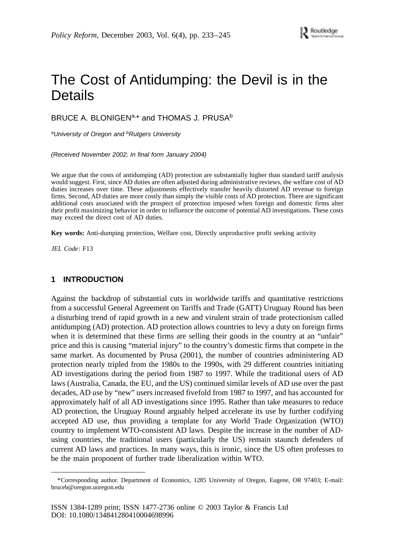# The Cost of Antidumping: the Devil is in the **Details**

BRUCE A. BLONIGEN<sup>a,\*</sup> and THOMAS J. PRUSA<sup>b</sup>

<sup>a</sup>University of Oregon and <sup>b</sup>Rutgers University

(Received November 2002; In final form January 2004)

We argue that the costs of antidumping (AD) protection are substantially higher than standard tariff analysis would suggest. First, since AD duties are often adjusted during administrative reviews, the welfare cost of AD duties increases over time. These adjustments effectively transfer heavily distorted AD revenue to foreign firms. Second, AD duties are more costly than simply the visible costs of AD protection. There are significant additional costs associated with the prospect of protection imposed when foreign and domestic firms alter their profit maximizing behavior in order to influence the outcome of potential AD investigations. These costs may exceed the direct cost of AD duties.

**Key words:** Anti-dumping protection, Welfare cost, Directly unproductive profit seeking activity

*JEL Code*: F13

#### **1 INTRODUCTION**

Against the backdrop of substantial cuts in worldwide tariffs and quantitative restrictions from a successful General Agreement on Tariffs and Trade (GATT) Uruguay Round has been a disturbing trend of rapid growth in a new and virulent strain of trade protectionism called antidumping (AD) protection. AD protection allows countries to levy a duty on foreign firms when it is determined that these firms are selling their goods in the country at an "unfair" price and this is causing "material injury" to the country's domestic firms that compete in the same market. As documented by Prusa (2001), the number of countries administering AD protection nearly tripled from the 1980s to the 1990s, with 29 different countries initiating AD investigations during the period from 1987 to 1997. While the traditional users of AD laws (Australia, Canada, the EU, and the US) continued similar levels of AD use over the past decades, AD use by "new" users increased fivefold from 1987 to 1997, and has accounted for approximately half of all AD investigations since 1995. Rather than take measures to reduce AD protection, the Uruguay Round arguably helped accelerate its use by further codifying accepted AD use, thus providing a template for any World Trade Organization (WTO) country to implement WTO-consistent AD laws. Despite the increase in the number of ADusing countries, the traditional users (particularly the US) remain staunch defenders of current AD laws and practices. In many ways, this is ironic, since the US often professes to be the main proponent of further trade liberalization within WTO.

<sup>\*</sup>Corresponding author. Department of Economics, 1285 University of Oregon, Eugene, OR 97403; E-mail: bruceb@oregon.uoregon.edu

ISSN 1384-1289 print; ISSN 1477-2736 online © 2003 Taylor & Francis Ltd DOI: 10.1080/134841280410004698996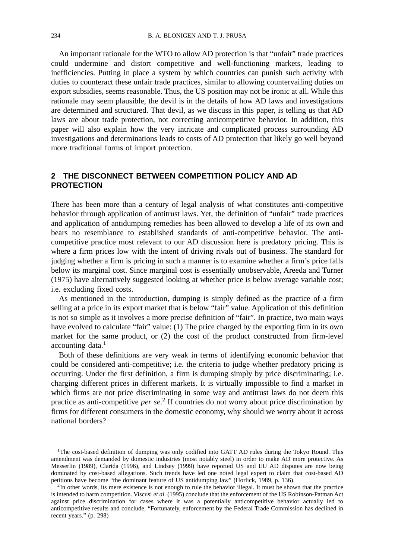An important rationale for the WTO to allow AD protection is that "unfair" trade practices could undermine and distort competitive and well-functioning markets, leading to inefficiencies. Putting in place a system by which countries can punish such activity with duties to counteract these unfair trade practices, similar to allowing countervailing duties on export subsidies, seems reasonable. Thus, the US position may not be ironic at all. While this rationale may seem plausible, the devil is in the details of how AD laws and investigations are determined and structured. That devil, as we discuss in this paper, is telling us that AD laws are about trade protection, not correcting anticompetitive behavior. In addition, this paper will also explain how the very intricate and complicated process surrounding AD investigations and determinations leads to costs of AD protection that likely go well beyond more traditional forms of import protection.

# **2 THE DISCONNECT BETWEEN COMPETITION POLICY AND AD PROTECTION**

There has been more than a century of legal analysis of what constitutes anti-competitive behavior through application of antitrust laws. Yet, the definition of "unfair" trade practices and application of antidumping remedies has been allowed to develop a life of its own and bears no resemblance to established standards of anti-competitive behavior. The anticompetitive practice most relevant to our AD discussion here is predatory pricing. This is where a firm prices low with the intent of driving rivals out of business. The standard for judging whether a firm is pricing in such a manner is to examine whether a firm's price falls below its marginal cost. Since marginal cost is essentially unobservable, Areeda and Turner (1975) have alternatively suggested looking at whether price is below average variable cost; i.e. excluding fixed costs.

As mentioned in the introduction, dumping is simply defined as the practice of a firm selling at a price in its export market that is below "fair" value. Application of this definition is not so simple as it involves a more precise definition of "fair". In practice, two main ways have evolved to calculate "fair" value: (1) The price charged by the exporting firm in its own market for the same product, or (2) the cost of the product constructed from firm-level accounting data.<sup>1</sup>

Both of these definitions are very weak in terms of identifying economic behavior that could be considered anti-competitive; i.e. the criteria to judge whether predatory pricing is occurring. Under the first definition, a firm is dumping simply by price discriminating; i.e. charging different prices in different markets. It is virtually impossible to find a market in which firms are not price discriminating in some way and antitrust laws do not deem this practice as anti-competitive *per se*. <sup>2</sup> If countries do not worry about price discrimination by firms for different consumers in the domestic economy, why should we worry about it across national borders?

<sup>&</sup>lt;sup>1</sup>The cost-based definition of dumping was only codified into GATT AD rules during the Tokyo Round. This amendment was demanded by domestic industries (most notably steel) in order to make AD more protective. As Messerlin (1989), Clarida (1996), and Lindsey (1999) have reported US and EU AD disputes are now being dominated by cost-based allegations. Such trends have led one noted legal expert to claim that cost-based AD petitions have become "the dominant feature of US antidumping law" (Horlick, 1989, p. 136).

 ${}^{2}$ In other words, its mere existence is not enough to rule the behavior illegal. It must be shown that the practice is intended to harm competition. Viscusi *et al.* (1995) conclude that the enforcement of the US Robinson-Patman Act against price discrimination for cases where it was a potentially anticompetitive behavior actually led to anticompetitive results and conclude, "Fortunately, enforcement by the Federal Trade Commission has declined in recent years." (p. 298)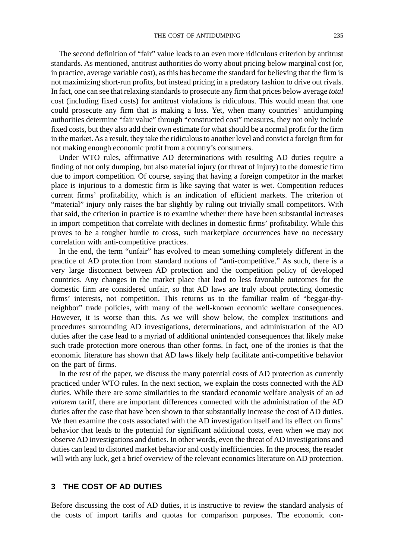The second definition of "fair" value leads to an even more ridiculous criterion by antitrust standards. As mentioned, antitrust authorities do worry about pricing below marginal cost (or, in practice, average variable cost), as this has become the standard for believing that the firm is not maximizing short-run profits, but instead pricing in a predatory fashion to drive out rivals. In fact, one can see that relaxing standards to prosecute any firm that prices below average *total* cost (including fixed costs) for antitrust violations is ridiculous. This would mean that one could prosecute any firm that is making a loss. Yet, when many countries' antidumping authorities determine "fair value" through "constructed cost" measures, they not only include fixed costs, but they also add their own estimate for what should be a normal profit for the firm in the market. As a result, they take the ridiculous to another level and convict a foreign firm for not making enough economic profit from a country's consumers.

Under WTO rules, affirmative AD determinations with resulting AD duties require a finding of not only dumping, but also material injury (or threat of injury) to the domestic firm due to import competition. Of course, saying that having a foreign competitor in the market place is injurious to a domestic firm is like saying that water is wet. Competition reduces current firms' profitability, which is an indication of efficient markets. The criterion of "material" injury only raises the bar slightly by ruling out trivially small competitors. With that said, the criterion in practice is to examine whether there have been substantial increases in import competition that correlate with declines in domestic firms' profitability. While this proves to be a tougher hurdle to cross, such marketplace occurrences have no necessary correlation with anti-competitive practices.

In the end, the term "unfair" has evolved to mean something completely different in the practice of AD protection from standard notions of "anti-competitive." As such, there is a very large disconnect between AD protection and the competition policy of developed countries. Any changes in the market place that lead to less favorable outcomes for the domestic firm are considered unfair, so that AD laws are truly about protecting domestic firms' interests, not competition. This returns us to the familiar realm of "beggar-thyneighbor" trade policies, with many of the well-known economic welfare consequences. However, it is worse than this. As we will show below, the complex institutions and procedures surrounding AD investigations, determinations, and administration of the AD duties after the case lead to a myriad of additional unintended consequences that likely make such trade protection more onerous than other forms. In fact, one of the ironies is that the economic literature has shown that AD laws likely help facilitate anti-competitive behavior on the part of firms.

In the rest of the paper, we discuss the many potential costs of AD protection as currently practiced under WTO rules. In the next section, we explain the costs connected with the AD duties. While there are some similarities to the standard economic welfare analysis of an *ad valorem* tariff, there are important differences connected with the administration of the AD duties after the case that have been shown to that substantially increase the cost of AD duties. We then examine the costs associated with the AD investigation itself and its effect on firms' behavior that leads to the potential for significant additional costs, even when we may not observe AD investigations and duties. In other words, even the threat of AD investigations and duties can lead to distorted market behavior and costly inefficiencies. In the process, the reader will with any luck, get a brief overview of the relevant economics literature on AD protection.

# **3 THE COST OF AD DUTIES**

Before discussing the cost of AD duties, it is instructive to review the standard analysis of the costs of import tariffs and quotas for comparison purposes. The economic con-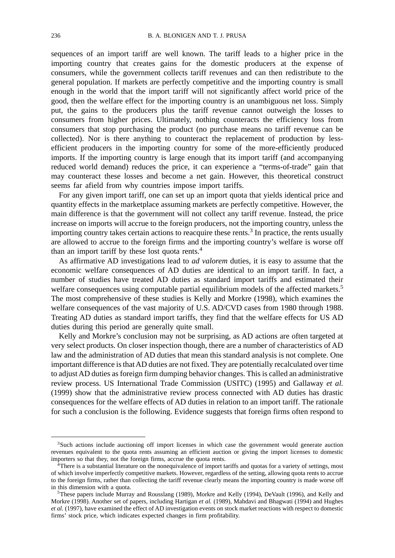sequences of an import tariff are well known. The tariff leads to a higher price in the importing country that creates gains for the domestic producers at the expense of consumers, while the government collects tariff revenues and can then redistribute to the general population. If markets are perfectly competitive and the importing country is small enough in the world that the import tariff will not significantly affect world price of the good, then the welfare effect for the importing country is an unambiguous net loss. Simply put, the gains to the producers plus the tariff revenue cannot outweigh the losses to consumers from higher prices. Ultimately, nothing counteracts the efficiency loss from consumers that stop purchasing the product (no purchase means no tariff revenue can be collected). Nor is there anything to counteract the replacement of production by lessefficient producers in the importing country for some of the more-efficiently produced imports. If the importing country is large enough that its import tariff (and accompanying reduced world demand) reduces the price, it can experience a "terms-of-trade" gain that may counteract these losses and become a net gain. However, this theoretical construct seems far afield from why countries impose import tariffs.

For any given import tariff, one can set up an import quota that yields identical price and quantity effects in the marketplace assuming markets are perfectly competitive. However, the main difference is that the government will not collect any tariff revenue. Instead, the price increase on imports will accrue to the foreign producers, not the importing country, unless the importing country takes certain actions to reacquire these rents.<sup>3</sup> In practice, the rents usually are allowed to accrue to the foreign firms and the importing country's welfare is worse off than an import tariff by these lost quota rents. $4$ 

As affirmative AD investigations lead to *ad valorem* duties, it is easy to assume that the economic welfare consequences of AD duties are identical to an import tariff. In fact, a number of studies have treated AD duties as standard import tariffs and estimated their welfare consequences using computable partial equilibrium models of the affected markets.<sup>5</sup> The most comprehensive of these studies is Kelly and Morkre (1998), which examines the welfare consequences of the vast majority of U.S. AD/CVD cases from 1980 through 1988. Treating AD duties as standard import tariffs, they find that the welfare effects for US AD duties during this period are generally quite small.

Kelly and Morkre's conclusion may not be surprising, as AD actions are often targeted at very select products. On closer inspection though, there are a number of characteristics of AD law and the administration of AD duties that mean this standard analysis is not complete. One important difference is that AD duties are not fixed. They are potentially recalculated over time to adjust AD duties as foreign firm dumping behavior changes. This is called an administrative review process. US International Trade Commission (USITC) (1995) and Gallaway *et al.* (1999) show that the administrative review process connected with AD duties has drastic consequences for the welfare effects of AD duties in relation to an import tariff. The rationale for such a conclusion is the following. Evidence suggests that foreign firms often respond to

<sup>&</sup>lt;sup>3</sup>Such actions include auctioning off import licenses in which case the government would generate auction revenues equivalent to the quota rents assuming an efficient auction or giving the import licenses to domestic importers so that they, not the foreign firms, accrue the quota rents.<br><sup>4</sup>There is a substantial literature on the nonequivalence of import tariffs and quotas for a variety of settings, most

of which involve imperfectly competitive markets. However, regardless of the setting, allowing quota rents to accrue to the foreign firms, rather than collecting the tariff revenue clearly means the importing country is made worse off in this dimension with a quota.<br><sup>5</sup>These papers include Murray and Rousslang (1989), Morkre and Kelly (1994), DeVault (1996), and Kelly and

Morkre (1998). Another set of papers, including Hartigan *et al.* (1989), Mahdavi and Bhagwati (1994) and Hughes *et al.* (1997), have examined the effect of AD investigation events on stock market reactions with respect to domestic firms' stock price, which indicates expected changes in firm profitability.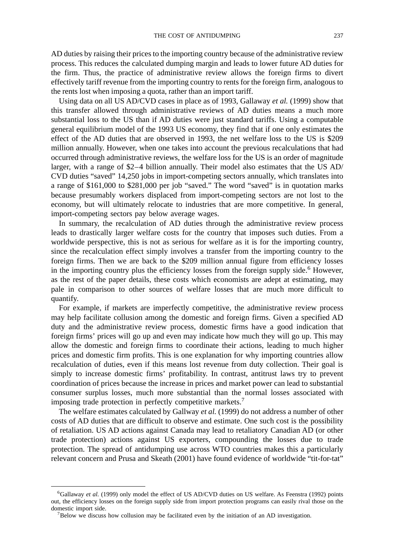AD duties by raising their prices to the importing country because of the administrative review process. This reduces the calculated dumping margin and leads to lower future AD duties for the firm. Thus, the practice of administrative review allows the foreign firms to divert effectively tariff revenue from the importing country to rents for the foreign firm, analogous to the rents lost when imposing a quota, rather than an import tariff.

Using data on all US AD/CVD cases in place as of 1993, Gallaway *et al.* (1999) show that this transfer allowed through administrative reviews of AD duties means a much more substantial loss to the US than if AD duties were just standard tariffs. Using a computable general equilibrium model of the 1993 US economy, they find that if one only estimates the effect of the AD duties that are observed in 1993, the net welfare loss to the US is \$209 million annually. However, when one takes into account the previous recalculations that had occurred through administrative reviews, the welfare loss for the US is an order of magnitude larger, with a range of \$2–4 billion annually. Their model also estimates that the US AD/ CVD duties "saved" 14,250 jobs in import-competing sectors annually, which translates into a range of \$161,000 to \$281,000 per job "saved." The word "saved" is in quotation marks because presumably workers displaced from import-competing sectors are not lost to the economy, but will ultimately relocate to industries that are more competitive. In general, import-competing sectors pay below average wages.

In summary, the recalculation of AD duties through the administrative review process leads to drastically larger welfare costs for the country that imposes such duties. From a worldwide perspective, this is not as serious for welfare as it is for the importing country, since the recalculation effect simply involves a transfer from the importing country to the foreign firms. Then we are back to the \$209 million annual figure from efficiency losses in the importing country plus the efficiency losses from the foreign supply side.<sup>6</sup> However, as the rest of the paper details, these costs which economists are adept at estimating, may pale in comparison to other sources of welfare losses that are much more difficult to quantify.

For example, if markets are imperfectly competitive, the administrative review process may help facilitate collusion among the domestic and foreign firms. Given a specified AD duty and the administrative review process, domestic firms have a good indication that foreign firms' prices will go up and even may indicate how much they will go up. This may allow the domestic and foreign firms to coordinate their actions, leading to much higher prices and domestic firm profits. This is one explanation for why importing countries allow recalculation of duties, even if this means lost revenue from duty collection. Their goal is simply to increase domestic firms' profitability. In contrast, antitrust laws try to prevent coordination of prices because the increase in prices and market power can lead to substantial consumer surplus losses, much more substantial than the normal losses associated with imposing trade protection in perfectly competitive markets.7

The welfare estimates calculated by Gallway *et al.* (1999) do not address a number of other costs of AD duties that are difficult to observe and estimate. One such cost is the possibility of retaliation. US AD actions against Canada may lead to retaliatory Canadian AD (or other trade protection) actions against US exporters, compounding the losses due to trade protection. The spread of antidumping use across WTO countries makes this a particularly relevant concern and Prusa and Skeath (2001) have found evidence of worldwide "tit-for-tat"

<sup>&</sup>lt;sup>6</sup>Gallaway *et al.* (1999) only model the effect of US AD/CVD duties on US welfare. As Feenstra (1992) points out, the efficiency losses on the foreign supply side from import protection programs can easily rival those on the domestic import side.<br><sup>7</sup>Below we discuss how collusion may be facilitated even by the initiation of an AD investigation.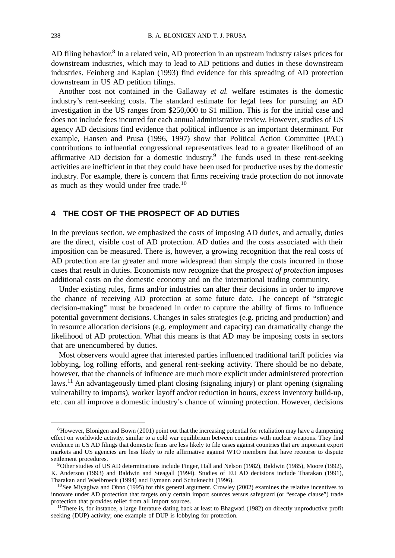AD filing behavior.<sup>8</sup> In a related vein, AD protection in an upstream industry raises prices for downstream industries, which may to lead to AD petitions and duties in these downstream industries. Feinberg and Kaplan (1993) find evidence for this spreading of AD protection downstream in US AD petition filings.

Another cost not contained in the Gallaway *et al.* welfare estimates is the domestic industry's rent-seeking costs. The standard estimate for legal fees for pursuing an AD investigation in the US ranges from \$250,000 to \$1 million. This is for the initial case and does not include fees incurred for each annual administrative review. However, studies of US agency AD decisions find evidence that political influence is an important determinant. For example, Hansen and Prusa (1996, 1997) show that Political Action Committee (PAC) contributions to influential congressional representatives lead to a greater likelihood of an affirmative AD decision for a domestic industry. $9$  The funds used in these rent-seeking activities are inefficient in that they could have been used for productive uses by the domestic industry. For example, there is concern that firms receiving trade protection do not innovate as much as they would under free trade.<sup>10</sup>

## **4 THE COST OF THE PROSPECT OF AD DUTIES**

In the previous section, we emphasized the costs of imposing AD duties, and actually, duties are the direct, visible cost of AD protection. AD duties and the costs associated with their imposition can be measured. There is, however, a growing recognition that the real costs of AD protection are far greater and more widespread than simply the costs incurred in those cases that result in duties. Economists now recognize that the *prospect of protection* imposes additional costs on the domestic economy and on the international trading community.

Under existing rules, firms and/or industries can alter their decisions in order to improve the chance of receiving AD protection at some future date. The concept of "strategic decision-making" must be broadened in order to capture the ability of firms to influence potential government decisions. Changes in sales strategies (e.g. pricing and production) and in resource allocation decisions (e.g. employment and capacity) can dramatically change the likelihood of AD protection. What this means is that AD may be imposing costs in sectors that are unencumbered by duties.

Most observers would agree that interested parties influenced traditional tariff policies via lobbying, log rolling efforts, and general rent-seeking activity. There should be no debate, however, that the channels of influence are much more explicit under administered protection laws.<sup>11</sup> An advantageously timed plant closing (signaling injury) or plant opening (signaling vulnerability to imports), worker layoff and/or reduction in hours, excess inventory build-up, etc. can all improve a domestic industry's chance of winning protection. However, decisions

<sup>8</sup>However, Blonigen and Bown (2001) point out that the increasing potential for retaliation may have a dampening effect on worldwide activity, similar to a cold war equilibrium between countries with nuclear weapons. They find evidence in US AD filings that domestic firms are less likely to file cases against countries that are important export markets and US agencies are less likely to rule affirmative against WTO members that have recourse to dispute settlement procedures.<br><sup>9</sup>Other studies of US AD determinations include Finger, Hall and Nelson (1982), Baldwin (1985), Moore (1992),

K. Anderson (1993) and Baldwin and Steagall (1994). Studies of EU AD decisions include Tharakan (1991), Tharakan and Waelbroeck (1994) and Eymann and Schuknecht (1996).

<sup>&</sup>lt;sup>10</sup>See Miyagiwa and Ohno (1995) for this general argument. Crowley (2002) examines the relative incentives to innovate under AD protection that targets only certain import sources versus safeguard (or "escape clause") trade protection that provides relief from all import sources.<br><sup>11</sup>There is, for instance, a large literature dating back at least to Bhagwati (1982) on directly unproductive profit

seeking (DUP) activity; one example of DUP is lobbying for protection.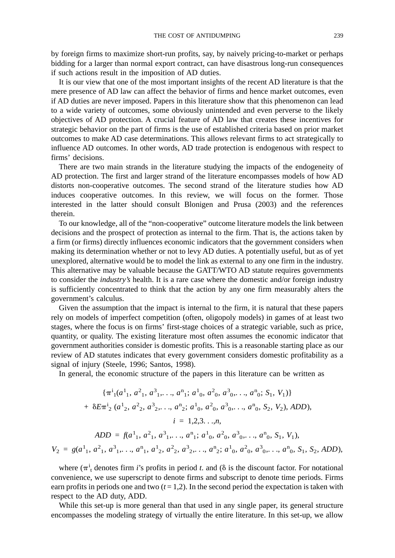by foreign firms to maximize short-run profits, say, by naively pricing-to-market or perhaps bidding for a larger than normal export contract, can have disastrous long-run consequences if such actions result in the imposition of AD duties.

It is our view that one of the most important insights of the recent AD literature is that the mere presence of AD law can affect the behavior of firms and hence market outcomes, even if AD duties are never imposed. Papers in this literature show that this phenomenon can lead to a wide variety of outcomes, some obviously unintended and even perverse to the likely objectives of AD protection. A crucial feature of AD law that creates these incentives for strategic behavior on the part of firms is the use of established criteria based on prior market outcomes to make AD case determinations. This allows relevant firms to act strategically to influence AD outcomes. In other words, AD trade protection is endogenous with respect to firms' decisions.

There are two main strands in the literature studying the impacts of the endogeneity of AD protection. The first and larger strand of the literature encompasses models of how AD distorts non-cooperative outcomes. The second strand of the literature studies how AD induces cooperative outcomes. In this review, we will focus on the former. Those interested in the latter should consult Blonigen and Prusa (2003) and the references therein.

To our knowledge, all of the "non-cooperative" outcome literature models the link between decisions and the prospect of protection as internal to the firm. That is, the actions taken by a firm (or firms) directly influences economic indicators that the government considers when making its determination whether or not to levy AD duties. A potentially useful, but as of yet unexplored, alternative would be to model the link as external to any one firm in the industry. This alternative may be valuable because the GATT/WTO AD statute requires governments to consider the *industry's* health. It is a rare case where the domestic and/or foreign industry is sufficiently concentrated to think that the action by any one firm measurably alters the government's calculus.

Given the assumption that the impact is internal to the firm, it is natural that these papers rely on models of imperfect competition (often, oligopoly models) in games of at least two stages, where the focus is on firms' first-stage choices of a strategic variable, such as price, quantity, or quality. The existing literature most often assumes the economic indicator that government authorities consider is domestic profits. This is a reasonable starting place as our review of AD statutes indicates that every government considers domestic profitability as a signal of injury (Steele, 1996; Santos, 1998).

In general, the economic structure of the papers in this literature can be written as

$$
\{\pi^i_1(a^1_1, a^2_1, a^3_1, \dots, a^n_1; a^1_0, a^2_0, a^3_0, \dots, a^n_0; S_1, V_1)\}
$$
  
+  $\delta E \pi^i_2$   $(a^1_2, a^2_2, a^3_2, \dots, a^n_2; a^1_0, a^2_0, a^3_0, \dots, a^n_0, S_2, V_2)$ , ADD),  
 $i = 1, 2, 3, \dots, n,$   
ADD =  $f(a^1_1, a^2_1, a^3_1, \dots, a^n_1; a^1_0, a^2_0, a^3_0, \dots, a^n_0, S_1, V_1)$ ,  
 $V_2 = g(a^1_1, a^2_1, a^3_1, \dots, a^n_1, a^1_2, a^2_2, a^3_2, \dots, a^n_2; a^1_0, a^2_0, a^3_0, \dots, a^n_0, S_1, S_2, ADD)$ ,

where  $(\pi_t^i)$  denotes firm *i*'s profits in period *t*. and ( $\delta$  is the discount factor. For notational convenience, we use superscript to denote firms and subscript to denote time periods. Firms earn profits in periods one and two  $(t=1,2)$ . In the second period the expectation is taken with respect to the AD duty, ADD.

While this set-up is more general than that used in any single paper, its general structure encompasses the modeling strategy of virtually the entire literature. In this set-up, we allow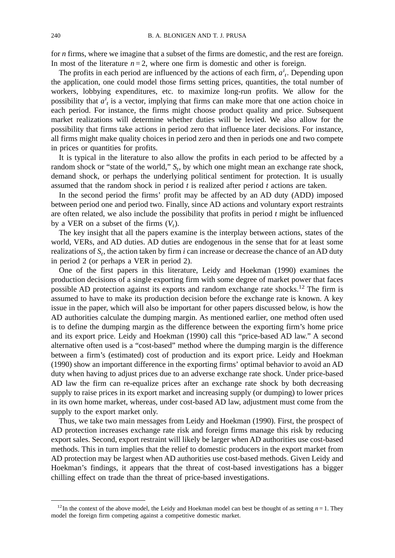for *n* firms, where we imagine that a subset of the firms are domestic, and the rest are foreign. In most of the literature  $n = 2$ , where one firm is domestic and other is foreign.

The profits in each period are influenced by the actions of each firm, *a<sup>i</sup> <sup>t</sup>*. Depending upon the application, one could model those firms setting prices, quantities, the total number of workers, lobbying expenditures, etc. to maximize long-run profits. We allow for the possibility that  $a^i$ <sub>*i*</sub> is a vector, implying that firms can make more that one action choice in each period. For instance, the firms might choose product quality and price. Subsequent market realizations will determine whether duties will be levied. We also allow for the possibility that firms take actions in period zero that influence later decisions. For instance, all firms might make quality choices in period zero and then in periods one and two compete in prices or quantities for profits.

It is typical in the literature to also allow the profits in each period to be affected by a random shock or "state of the world,"  $S_t$ , by which one might mean an exchange rate shock, demand shock, or perhaps the underlying political sentiment for protection. It is usually assumed that the random shock in period *t* is realized after period *t* actions are taken.

In the second period the firms' profit may be affected by an AD duty (ADD) imposed between period one and period two. Finally, since AD actions and voluntary export restraints are often related, we also include the possibility that profits in period *t* might be influenced by a VER on a subset of the firms  $(V_t)$ .

The key insight that all the papers examine is the interplay between actions, states of the world, VERs, and AD duties. AD duties are endogenous in the sense that for at least some realizations of  $S_t$ , the action taken by firm  $i$  can increase or decrease the chance of an AD duty in period 2 (or perhaps a VER in period 2).

One of the first papers in this literature, Leidy and Hoekman (1990) examines the production decisions of a single exporting firm with some degree of market power that faces possible AD protection against its exports and random exchange rate shocks.<sup>12</sup> The firm is assumed to have to make its production decision before the exchange rate is known. A key issue in the paper, which will also be important for other papers discussed below, is how the AD authorities calculate the dumping margin. As mentioned earlier, one method often used is to define the dumping margin as the difference between the exporting firm's home price and its export price. Leidy and Hoekman (1990) call this "price-based AD law." A second alternative often used is a "cost-based" method where the dumping margin is the difference between a firm's (estimated) cost of production and its export price. Leidy and Hoekman (1990) show an important difference in the exporting firms' optimal behavior to avoid an AD duty when having to adjust prices due to an adverse exchange rate shock. Under price-based AD law the firm can re-equalize prices after an exchange rate shock by both decreasing supply to raise prices in its export market and increasing supply (or dumping) to lower prices in its own home market, whereas, under cost-based AD law, adjustment must come from the supply to the export market only.

Thus, we take two main messages from Leidy and Hoekman (1990). First, the prospect of AD protection increases exchange rate risk and foreign firms manage this risk by reducing export sales. Second, export restraint will likely be larger when AD authorities use cost-based methods. This in turn implies that the relief to domestic producers in the export market from AD protection may be largest when AD authorities use cost-based methods. Given Leidy and Hoekman's findings, it appears that the threat of cost-based investigations has a bigger chilling effect on trade than the threat of price-based investigations.

<sup>&</sup>lt;sup>12</sup>In the context of the above model, the Leidy and Hoekman model can best be thought of as setting  $n = 1$ . They model the foreign firm competing against a competitive domestic market.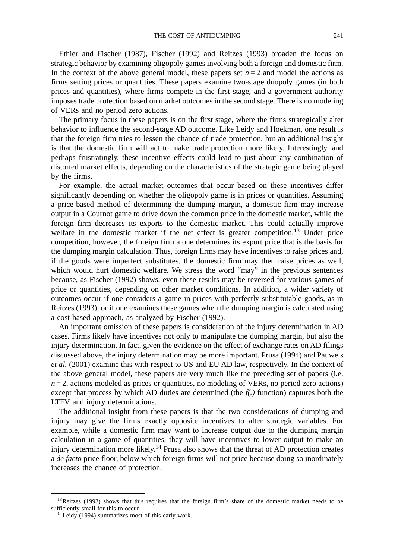Ethier and Fischer (1987), Fischer (1992) and Reitzes (1993) broaden the focus on strategic behavior by examining oligopoly games involving both a foreign and domestic firm. In the context of the above general model, these papers set  $n = 2$  and model the actions as firms setting prices or quantities. These papers examine two-stage duopoly games (in both prices and quantities), where firms compete in the first stage, and a government authority imposes trade protection based on market outcomes in the second stage. There is no modeling of VERs and no period zero actions.

The primary focus in these papers is on the first stage, where the firms strategically alter behavior to influence the second-stage AD outcome. Like Leidy and Hoekman, one result is that the foreign firm tries to lessen the chance of trade protection, but an additional insight is that the domestic firm will act to make trade protection more likely. Interestingly, and perhaps frustratingly, these incentive effects could lead to just about any combination of distorted market effects, depending on the characteristics of the strategic game being played by the firms.

For example, the actual market outcomes that occur based on these incentives differ significantly depending on whether the oligopoly game is in prices or quantities. Assuming a price-based method of determining the dumping margin, a domestic firm may increase output in a Cournot game to drive down the common price in the domestic market, while the foreign firm decreases its exports to the domestic market. This could actually improve welfare in the domestic market if the net effect is greater competition.<sup>13</sup> Under price competition, however, the foreign firm alone determines its export price that is the basis for the dumping margin calculation. Thus, foreign firms may have incentives to raise prices and, if the goods were imperfect substitutes, the domestic firm may then raise prices as well, which would hurt domestic welfare. We stress the word "may" in the previous sentences because, as Fischer (1992) shows, even these results may be reversed for various games of price or quantities, depending on other market conditions. In addition, a wider variety of outcomes occur if one considers a game in prices with perfectly substitutable goods, as in Reitzes (1993), or if one examines these games when the dumping margin is calculated using a cost-based approach, as analyzed by Fischer (1992).

An important omission of these papers is consideration of the injury determination in AD cases. Firms likely have incentives not only to manipulate the dumping margin, but also the injury determination. In fact, given the evidence on the effect of exchange rates on AD filings discussed above, the injury determination may be more important. Prusa (1994) and Pauwels *et al.* (2001) examine this with respect to US and EU AD law, respectively. In the context of the above general model, these papers are very much like the preceding set of papers (i.e.  $n = 2$ , actions modeled as prices or quantities, no modeling of VERs, no period zero actions) except that process by which AD duties are determined (the  $f(.)$  function) captures both the LTFV and injury determinations.

The additional insight from these papers is that the two considerations of dumping and injury may give the firms exactly opposite incentives to alter strategic variables. For example, while a domestic firm may want to increase output due to the dumping margin calculation in a game of quantities, they will have incentives to lower output to make an injury determination more likely.<sup>14</sup> Prusa also shows that the threat of AD protection creates a *de facto* price floor, below which foreign firms will not price because doing so inordinately increases the chance of protection.

 $13$ Reitzes (1993) shows that this requires that the foreign firm's share of the domestic market needs to be sufficiently small for this to occur.

 $14$ Leidy (1994) summarizes most of this early work.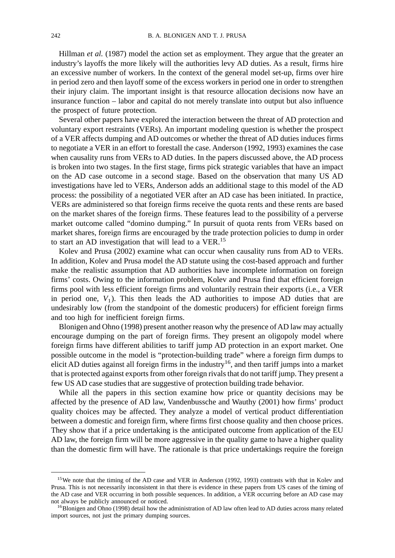Hillman *et al.* (1987) model the action set as employment. They argue that the greater an industry's layoffs the more likely will the authorities levy AD duties. As a result, firms hire an excessive number of workers. In the context of the general model set-up, firms over hire in period zero and then layoff some of the excess workers in period one in order to strengthen their injury claim. The important insight is that resource allocation decisions now have an insurance function – labor and capital do not merely translate into output but also influence the prospect of future protection.

Several other papers have explored the interaction between the threat of AD protection and voluntary export restraints (VERs). An important modeling question is whether the prospect of a VER affects dumping and AD outcomes or whether the threat of AD duties induces firms to negotiate a VER in an effort to forestall the case. Anderson (1992, 1993) examines the case when causality runs from VERs to AD duties. In the papers discussed above, the AD process is broken into two stages. In the first stage, firms pick strategic variables that have an impact on the AD case outcome in a second stage. Based on the observation that many US AD investigations have led to VERs, Anderson adds an additional stage to this model of the AD process: the possibility of a negotiated VER after an AD case has been initiated. In practice, VERs are administered so that foreign firms receive the quota rents and these rents are based on the market shares of the foreign firms. These features lead to the possibility of a perverse market outcome called "domino dumping." In pursuit of quota rents from VERs based on market shares, foreign firms are encouraged by the trade protection policies to dump in order to start an AD investigation that will lead to a VER.15

Kolev and Prusa (2002) examine what can occur when causality runs from AD to VERs. In addition, Kolev and Prusa model the AD statute using the cost-based approach and further make the realistic assumption that AD authorities have incomplete information on foreign firms' costs. Owing to the information problem, Kolev and Prusa find that efficient foreign firms pool with less efficient foreign firms and voluntarily restrain their exports (i.e., a VER in period one,  $V_1$ ). This then leads the AD authorities to impose AD duties that are undesirably low (from the standpoint of the domestic producers) for efficient foreign firms and too high for inefficient foreign firms.

Blonigen and Ohno (1998) present another reason why the presence of AD law may actually encourage dumping on the part of foreign firms. They present an oligopoly model where foreign firms have different abilities to tariff jump AD protection in an export market. One possible outcome in the model is "protection-building trade" where a foreign firm dumps to elicit AD duties against all foreign firms in the industry<sup>16</sup>, and then tariff jumps into a market that is protected against exports from other foreign rivals that do not tariff jump. They present a few US AD case studies that are suggestive of protection building trade behavior.

While all the papers in this section examine how price or quantity decisions may be affected by the presence of AD law, Vandenbussche and Wauthy (2001) how firms' product quality choices may be affected. They analyze a model of vertical product differentiation between a domestic and foreign firm, where firms first choose quality and then choose prices. They show that if a price undertaking is the anticipated outcome from application of the EU AD law, the foreign firm will be more aggressive in the quality game to have a higher quality than the domestic firm will have. The rationale is that price undertakings require the foreign

<sup>&</sup>lt;sup>15</sup>We note that the timing of the AD case and VER in Anderson (1992, 1993) contrasts with that in Kolev and Prusa. This is not necessarily inconsistent in that there is evidence in these papers from US cases of the timing of the AD case and VER occurring in both possible sequences. In addition, a VER occurring before an AD case may not always be publicly announced or noticed.<br><sup>16</sup>Blonigen and Ohno (1998) detail how the administration of AD law often lead to AD duties across many related

import sources, not just the primary dumping sources.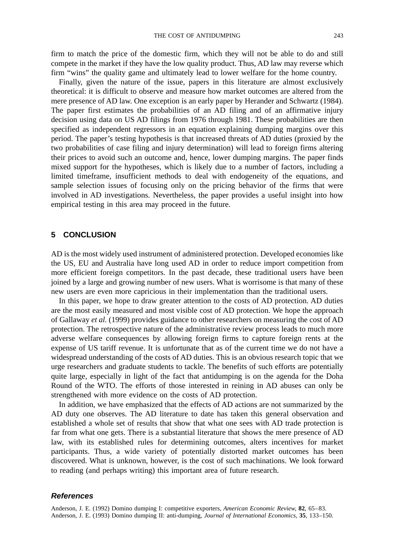firm to match the price of the domestic firm, which they will not be able to do and still compete in the market if they have the low quality product. Thus, AD law may reverse which firm "wins" the quality game and ultimately lead to lower welfare for the home country.

Finally, given the nature of the issue, papers in this literature are almost exclusively theoretical: it is difficult to observe and measure how market outcomes are altered from the mere presence of AD law. One exception is an early paper by Herander and Schwartz (1984). The paper first estimates the probabilities of an AD filing and of an affirmative injury decision using data on US AD filings from 1976 through 1981. These probabilities are then specified as independent regressors in an equation explaining dumping margins over this period. The paper's testing hypothesis is that increased threats of AD duties (proxied by the two probabilities of case filing and injury determination) will lead to foreign firms altering their prices to avoid such an outcome and, hence, lower dumping margins. The paper finds mixed support for the hypotheses, which is likely due to a number of factors, including a limited timeframe, insufficient methods to deal with endogeneity of the equations, and sample selection issues of focusing only on the pricing behavior of the firms that were involved in AD investigations. Nevertheless, the paper provides a useful insight into how empirical testing in this area may proceed in the future.

#### **5 CONCLUSION**

AD is the most widely used instrument of administered protection. Developed economies like the US, EU and Australia have long used AD in order to reduce import competition from more efficient foreign competitors. In the past decade, these traditional users have been joined by a large and growing number of new users. What is worrisome is that many of these new users are even more capricious in their implementation than the traditional users.

In this paper, we hope to draw greater attention to the costs of AD protection. AD duties are the most easily measured and most visible cost of AD protection. We hope the approach of Gallaway *et al.* (1999) provides guidance to other researchers on measuring the cost of AD protection. The retrospective nature of the administrative review process leads to much more adverse welfare consequences by allowing foreign firms to capture foreign rents at the expense of US tariff revenue. It is unfortunate that as of the current time we do not have a widespread understanding of the costs of AD duties. This is an obvious research topic that we urge researchers and graduate students to tackle. The benefits of such efforts are potentially quite large, especially in light of the fact that antidumping is on the agenda for the Doha Round of the WTO. The efforts of those interested in reining in AD abuses can only be strengthened with more evidence on the costs of AD protection.

In addition, we have emphasized that the effects of AD actions are not summarized by the AD duty one observes. The AD literature to date has taken this general observation and established a whole set of results that show that what one sees with AD trade protection is far from what one gets. There is a substantial literature that shows the mere presence of AD law, with its established rules for determining outcomes, alters incentives for market participants. Thus, a wide variety of potentially distorted market outcomes has been discovered. What is unknown, however, is the cost of such machinations. We look forward to reading (and perhaps writing) this important area of future research.

#### **References**

Anderson, J. E. (1992) Domino dumping I: competitive exporters, *American Economic Review*, **82**, 65–83. Anderson, J. E. (1993) Domino dumping II: anti-dumping, *Journal of International Economics*, **35**, 133–150.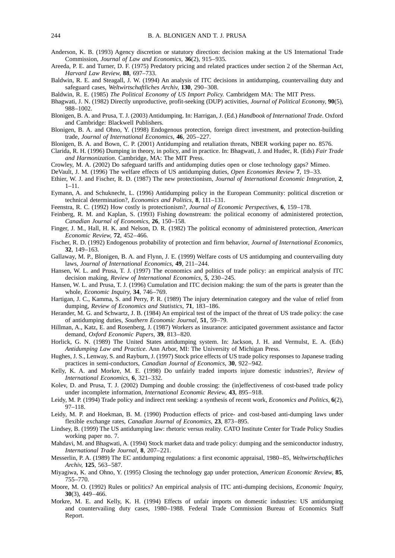- Anderson, K. B. (1993) Agency discretion or statutory direction: decision making at the US International Trade Commission, *Journal of Law and Economics*, **36**(2), 915–935.
- Areeda, P. E. and Turner, D. F. (1975) Predatory pricing and related practices under section 2 of the Sherman Act, *Harvard Law Review*, **88**, 697–733.
- Baldwin, R. E. and Steagall, J. W. (1994) An analysis of ITC decisions in antidumping, countervailing duty and safeguard cases, *Weltwirtschaftliches Archiv*, **130**, 290–308.
- Baldwin, R. E. (1985) *The Political Economy of US Import Policy*. Cambridgem MA: The MIT Press.
- Bhagwati, J. N. (1982) Directly unproductive, profit-seeking (DUP) activities, *Journal of Political Economy*, **90**(5), 988–1002.
- Blonigen, B. A. and Prusa, T. J. (2003) Antidumping. In: Harrigan, J. (Ed.) *Handbook of International Trade*. Oxford and Cambridge: Blackwell Publishers.
- Blonigen, B. A. and Ohno, Y. (1998) Endogenous protection, foreign direct investment, and protection-building trade, *Journal of International Economics*, **46**, 205–227.
- Blonigen, B. A. and Bown, C. P. (2001) Antidumping and retaliation threats, NBER working paper no. 8576.
- Clarida, R. H. (1996) Dumping in theory, in policy, and in practice. In: Bhagwati, J. and Hudec, R. (Eds) *Fair Trade and Harmonization*. Cambridge, MA: The MIT Press.
- Crowley, M. A. (2002) Do safeguard tariffs and antidumping duties open or close technology gaps? Mimeo.
- DeVault, J. M. (1996) The welfare effects of US antidumping duties, *Open Economies Review* **7**, 19–33.
- Ethier, W. J. and Fischer, R. D. (1987) The new protectionism, *Journal of International Economic Integration*, **2**, 1–11.
- Eymann, A. and Schuknecht, L. (1996) Antidumping policy in the European Community: political discretion or technical determination?, *Economics and Politics*, **8**, 111–131.
- Feenstra, R. C. (1992) How costly is protectionism?, *Journal of Economic Perspectives*, **6**, 159–178.
- Feinberg, R. M. and Kaplan, S. (1993) Fishing downstream: the political economy of administered protection, *Canadian Journal of Economics*, **26**, 150–158.
- Finger, J. M., Hall, H. K. and Nelson, D. R. (1982) The political economy of administered protection, *American Economic Review*, **72**, 452–466.
- Fischer, R. D. (1992) Endogenous probability of protection and firm behavior, *Journal of International Economics*, **32**, 149–163.
- Gallaway, M. P., Blonigen, B. A. and Flynn, J. E. (1999) Welfare costs of US antidumping and countervailing duty laws, *Journal of International Economics*, **49**, 211–244.
- Hansen, W. L. and Prusa, T. J. (1997) The economics and politics of trade policy: an empirical analysis of ITC decision making, *Review of International Economics*, **5**, 230–245.
- Hansen, W. L. and Prusa, T. J. (1996) Cumulation and ITC decision making: the sum of the parts is greater than the whole, *Economic Inquiry*, **34**, 746–769.
- Hartigan, J. C., Kamma, S. and Perry, P. R. (1989) The injury determination category and the value of relief from dumping, *Review of Economics and Statistics*, **71**, 183–186.
- Herander, M. G. and Schwartz, J. B. (1984) An empirical test of the impact of the threat of US trade policy: the case of antidumping duties, *Southern Economic Journal*, **51**, 59–79.
- Hillman, A., Katz, E. and Rosenberg, J. (1987) Workers as insurance: anticipated government assistance and factor demand, *Oxford Economic Papers*, **39**, 813–820.
- Horlick, G. N. (1989) The United States antidumping system. In: Jackson, J. H. and Vermulst, E. A. (Eds) *Antidumping Law and Practice*. Ann Arbor, MI: The University of Michigan Press.
- Hughes, J. S., Lenway, S. and Rayburn, J. (1997) Stock price effects of US trade policy responses to Japanese trading practices in semi-conductors, *Canadian Journal of Economics*, **30**, 922–942.
- Kelly, K. A. and Morkre, M. E. (1998) Do unfairly traded imports injure domestic industries?, *Review of International Economics*, **6**, 321–332.
- Kolev, D. and Prusa, T. J. (2002) Dumping and double crossing: the (in)effectiveness of cost-based trade policy under incomplete information, *International Economic Review*, **43**, 895–918.
- Leidy, M. P. (1994) Trade policy and indirect rent seeking: a synthesis of recent work, *Economics and Politics*, **6**(2), 97–118.
- Leidy, M. P. and Hoekman, B. M. (1990) Production effects of price- and cost-based anti-dumping laws under flexible exchange rates, *Canadian Journal of Economics*, **23**, 873–895.
- Lindsey, B. (1999) The US antidumping law: rhetoric versus reality. CATO Institute Center for Trade Policy Studies working paper no. 7.
- Mahdavi, M. and Bhagwati, A. (1994) Stock market data and trade policy: dumping and the semiconductor industry, *International Trade Journal*, **8**, 207–221.
- Messerlin, P. A. (1989) The EC antidumping regulations: a first economic appraisal, 1980–85, *Weltwirtschaftliches Archiv*, **125**, 563–587.
- Miyagiwa, K. and Ohno, Y. (1995) Closing the technology gap under protection, *American Economic Review*, **85**, 755–770.
- Moore, M. O. (1992) Rules or politics? An empirical analysis of ITC anti-dumping decisions, *Economic Inquiry*, **30**(3), 449–466.
- Morkre, M. E. and Kelly, K. H. (1994) Effects of unfair imports on domestic industries: US antidumping and countervailing duty cases, 1980–1988. Federal Trade Commission Bureau of Economics Staff Report.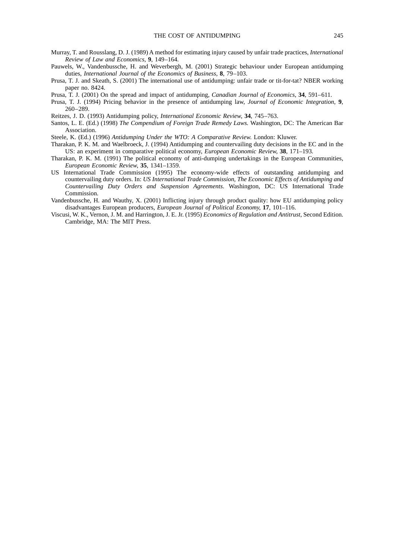- Murray, T. and Rousslang, D. J. (1989) A method for estimating injury caused by unfair trade practices, *International Review of Law and Economics*, **9**, 149–164.
- Pauwels, W., Vandenbussche, H. and Weverbergh, M. (2001) Strategic behaviour under European antidumping duties, *International Journal of the Economics of Business*, **8**, 79–103.
- Prusa, T. J. and Skeath, S. (2001) The international use of antidumping: unfair trade or tit-for-tat? NBER working paper no. 8424.
- Prusa, T. J. (2001) On the spread and impact of antidumping, *Canadian Journal of Economics*, **34**, 591–611.
- Prusa, T. J. (1994) Pricing behavior in the presence of antidumping law, *Journal of Economic Integration*, **9**, 260–289.
- Reitzes, J. D. (1993) Antidumping policy, *International Economic Review*, **34**, 745–763.
- Santos, L. E. (Ed.) (1998) *The Compendium of Foreign Trade Remedy Laws.* Washington, DC: The American Bar Association.
- Steele, K. (Ed.) (1996) *Antidumping Under the WTO: A Comparative Review*. London: Kluwer.
- Tharakan, P. K. M. and Waelbroeck, J. (1994) Antidumping and countervailing duty decisions in the EC and in the US: an experiment in comparative political economy, *European Economic Review*, **38**, 171–193.
- Tharakan, P. K. M. (1991) The political economy of anti-dumping undertakings in the European Communities, *European Economic Review*, **35**, 1341–1359.
- US International Trade Commission (1995) The economy-wide effects of outstanding antidumping and countervailing duty orders. In: *US International Trade Commission, The Economic Effects of Antidumping and Countervailing Duty Orders and Suspension Agreements*. Washington, DC: US International Trade Commission.
- Vandenbussche, H. and Wauthy, X. (2001) Inflicting injury through product quality: how EU antidumping policy disadvantages European producers, *European Journal of Political Economy*, **17**, 101–116.
- Viscusi, W. K., Vernon, J. M. and Harrington, J. E. Jr. (1995) *Economics of Regulation and Antitrust*, Second Edition. Cambridge, MA: The MIT Press.